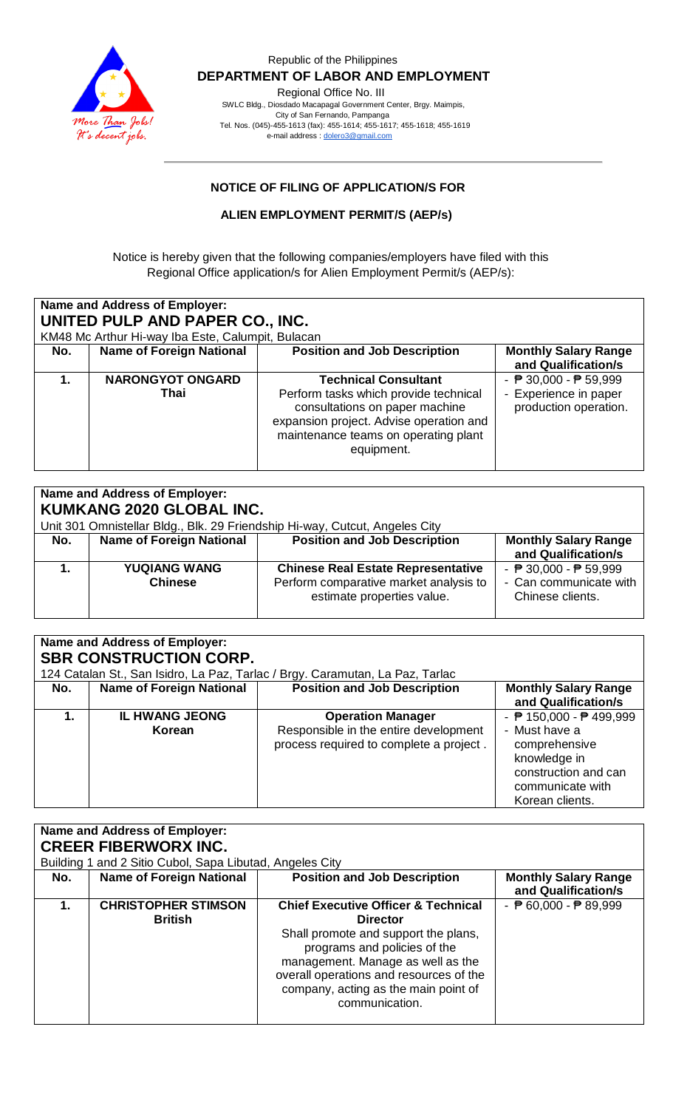

 Republic of the Philippines  **DEPARTMENT OF LABOR AND EMPLOYMENT** Regional Office No. III SWLC Bldg., Diosdado Macapagal Government Center, Brgy. Maimpis, City of San Fernando, Pampanga

 Tel. Nos. (045)-455-1613 (fax): 455-1614; 455-1617; 455-1618; 455-1619 e-mail address [: dolero3@gmail.com](mailto:dolero3@gmail.com)

## **NOTICE OF FILING OF APPLICATION/S FOR**

**ALIEN EMPLOYMENT PERMIT/S (AEP/s)**

Notice is hereby given that the following companies/employers have filed with this Regional Office application/s for Alien Employment Permit/s (AEP/s):

| Name and Address of Employer:<br>UNITED PULP AND PAPER CO., INC.<br>KM48 Mc Arthur Hi-way Iba Este, Calumpit, Bulacan |                                 |                                                                                                                                                                                                         |                                                                                                   |
|-----------------------------------------------------------------------------------------------------------------------|---------------------------------|---------------------------------------------------------------------------------------------------------------------------------------------------------------------------------------------------------|---------------------------------------------------------------------------------------------------|
| No.                                                                                                                   | <b>Name of Foreign National</b> | <b>Position and Job Description</b>                                                                                                                                                                     | <b>Monthly Salary Range</b><br>and Qualification/s                                                |
|                                                                                                                       | <b>NARONGYOT ONGARD</b><br>Thai | <b>Technical Consultant</b><br>Perform tasks which provide technical<br>consultations on paper machine<br>expansion project. Advise operation and<br>maintenance teams on operating plant<br>equipment. | - $\overline{P}$ 30,000 - $\overline{P}$ 59,999<br>- Experience in paper<br>production operation. |

| <b>Name and Address of Employer:</b><br><b>KUMKANG 2020 GLOBAL INC.</b><br>Unit 301 Omnistellar Bldg., Blk. 29 Friendship Hi-way, Cutcut, Angeles City |                                       |                                                                                                                   |                                                                                               |
|--------------------------------------------------------------------------------------------------------------------------------------------------------|---------------------------------------|-------------------------------------------------------------------------------------------------------------------|-----------------------------------------------------------------------------------------------|
| No.                                                                                                                                                    | <b>Name of Foreign National</b>       | <b>Position and Job Description</b>                                                                               | <b>Monthly Salary Range</b><br>and Qualification/s                                            |
|                                                                                                                                                        | <b>YUQIANG WANG</b><br><b>Chinese</b> | <b>Chinese Real Estate Representative</b><br>Perform comparative market analysis to<br>estimate properties value. | - $\overline{P}$ 30,000 - $\overline{P}$ 59,999<br>- Can communicate with<br>Chinese clients. |

| Name and Address of Employer:<br><b>SBR CONSTRUCTION CORP.</b>                |                                 |                                                                                                              |                                                                                                                                                                    |
|-------------------------------------------------------------------------------|---------------------------------|--------------------------------------------------------------------------------------------------------------|--------------------------------------------------------------------------------------------------------------------------------------------------------------------|
| 124 Catalan St., San Isidro, La Paz, Tarlac / Brgy. Caramutan, La Paz, Tarlac |                                 |                                                                                                              |                                                                                                                                                                    |
| No.                                                                           | <b>Name of Foreign National</b> | <b>Position and Job Description</b>                                                                          | <b>Monthly Salary Range</b><br>and Qualification/s                                                                                                                 |
| 1.                                                                            | <b>IL HWANG JEONG</b><br>Korean | <b>Operation Manager</b><br>Responsible in the entire development<br>process required to complete a project. | - $\overline{P}$ 150,000 - $\overline{P}$ 499,999<br>- Must have a<br>comprehensive<br>knowledge in<br>construction and can<br>communicate with<br>Korean clients. |

| Name and Address of Employer: |                                                          |                                                                      |                                                    |
|-------------------------------|----------------------------------------------------------|----------------------------------------------------------------------|----------------------------------------------------|
| <b>CREER FIBERWORX INC.</b>   |                                                          |                                                                      |                                                    |
|                               | Building 1 and 2 Sitio Cubol, Sapa Libutad, Angeles City |                                                                      |                                                    |
| No.                           | <b>Name of Foreign National</b>                          | <b>Position and Job Description</b>                                  | <b>Monthly Salary Range</b><br>and Qualification/s |
|                               | <b>CHRISTOPHER STIMSON</b>                               | <b>Chief Executive Officer &amp; Technical</b>                       | - $\overline{P}$ 60,000 - $\overline{P}$ 89,999    |
|                               | <b>British</b>                                           | <b>Director</b>                                                      |                                                    |
|                               |                                                          | Shall promote and support the plans,<br>programs and policies of the |                                                    |
|                               |                                                          | management. Manage as well as the                                    |                                                    |
|                               |                                                          | overall operations and resources of the                              |                                                    |
|                               |                                                          | company, acting as the main point of<br>communication.               |                                                    |
|                               |                                                          |                                                                      |                                                    |